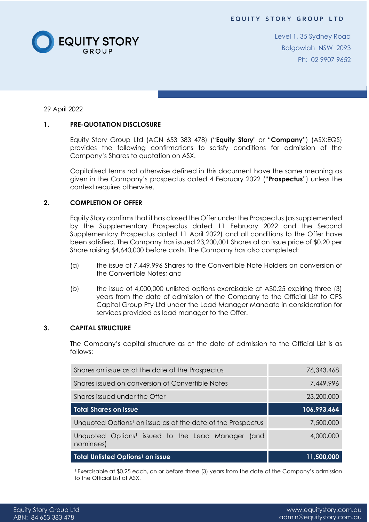

Level 1, 35 Sydney Road Balgowlah NSW 2093 Ph: 02 9907 9652

29 April 2022

# **1. PRE-QUOTATION DISCLOSURE**

Equity Story Group Ltd (ACN 653 383 478) ("**Equity Story**" or "**Company**") (ASX:EQS) provides the following confirmations to satisfy conditions for admission of the Company's Shares to quotation on ASX.

Capitalised terms not otherwise defined in this document have the same meaning as given in the Company's prospectus dated 4 February 2022 ("**Prospectus**") unless the context requires otherwise.

### **2. COMPLETION OF OFFER**

Equity Story confirms that it has closed the Offer under the Prospectus (as supplemented by the Supplementary Prospectus dated 11 February 2022 and the Second Supplementary Prospectus dated 11 April 2022) and all conditions to the Offer have been satisfied. The Company has issued 23,200,001 Shares at an issue price of \$0.20 per Share raising \$4,640,000 before costs. The Company has also completed:

- (a) the issue of 7,449,996 Shares to the Convertible Note Holders on conversion of the Convertible Notes; and
- (b) the issue of 4,000,000 unlisted options exercisable at A\$0.25 expiring three (3) years from the date of admission of the Company to the Official List to CPS Capital Group Pty Ltd under the Lead Manager Mandate in consideration for services provided as lead manager to the Offer.

#### **3. CAPITAL STRUCTURE**

The Company's capital structure as at the date of admission to the Official List is as follows:

| <b>Total Unlisted Options<sup>1</sup> on issue</b>                         | 11,500,000  |
|----------------------------------------------------------------------------|-------------|
| Unquoted Options <sup>1</sup> issued to the Lead Manager (and<br>nominees) | 4,000,000   |
| Unquoted Options <sup>1</sup> on issue as at the date of the Prospectus    | 7,500,000   |
| <b>Total Shares on issue</b>                                               | 106,993,464 |
| Shares issued under the Offer                                              | 23,200,000  |
| Shares issued on conversion of Convertible Notes                           | 7,449,996   |
| Shares on issue as at the date of the Prospectus                           | 76,343,468  |

<sup>1</sup>Exercisable at \$0.25 each, on or before three (3) years from the date of the Company's admission to the Official List of ASX.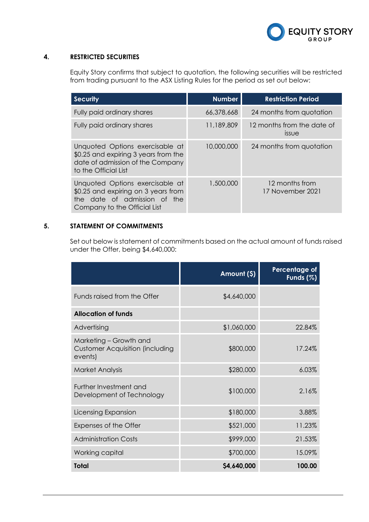

### **4. RESTRICTED SECURITIES**

Equity Story confirms that subject to quotation, the following securities will be restricted from trading pursuant to the ASX Listing Rules for the period as set out below:

| <b>Security</b>                                                                                                                        | <b>Number</b> | <b>Restriction Period</b>           |
|----------------------------------------------------------------------------------------------------------------------------------------|---------------|-------------------------------------|
| Fully paid ordinary shares                                                                                                             | 66,378,668    | 24 months from quotation            |
| Fully paid ordinary shares                                                                                                             | 11,189,809    | 12 months from the date of<br>issue |
| Unquoted Options exercisable at<br>\$0.25 and expiring 3 years from the<br>date of admission of the Company<br>to the Official List    | 10,000,000    | 24 months from quotation            |
| Unquoted Options exercisable at<br>\$0.25 and expiring on 3 years from<br>the date of admission of the<br>Company to the Official List | 1,500,000     | 12 months from<br>17 November 2021  |

# **5. STATEMENT OF COMMITMENTS**

Set out below is statement of commitments based on the actual amount of funds raised under the Offer, being \$4,640,000:

|                                                                             | Amount (\$) | <b>Percentage of</b><br>Funds (%) |
|-----------------------------------------------------------------------------|-------------|-----------------------------------|
| Funds raised from the Offer                                                 | \$4,640,000 |                                   |
| <b>Allocation of funds</b>                                                  |             |                                   |
| Advertising                                                                 | \$1,060,000 | 22.84%                            |
| Marketing - Growth and<br><b>Customer Acquisition (including</b><br>events) | \$800,000   | 17.24%                            |
| <b>Market Analysis</b>                                                      | \$280,000   | 6.03%                             |
| Further Investment and<br>Development of Technology                         | \$100,000   | 2.16%                             |
| Licensing Expansion                                                         | \$180,000   | 3.88%                             |
| Expenses of the Offer                                                       | \$521,000   | 11.23%                            |
| <b>Administration Costs</b>                                                 | \$999,000   | 21.53%                            |
| Working capital                                                             | \$700,000   | 15.09%                            |
| Total                                                                       | \$4,640,000 | 100.00                            |